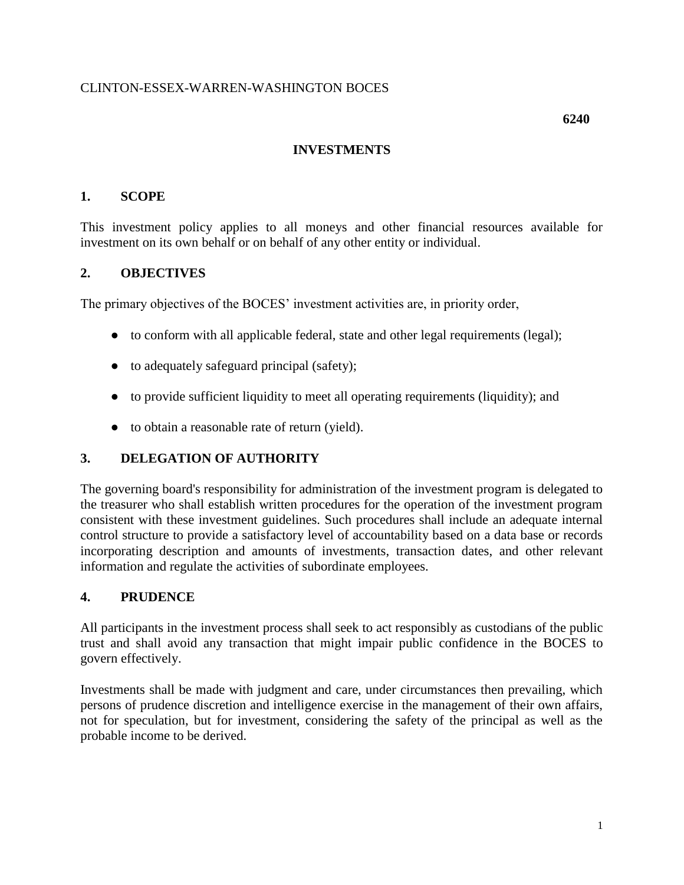### CLINTON-ESSEX-WARREN-WASHINGTON BOCES

### **INVESTMENTS**

#### **1. SCOPE**

This investment policy applies to all moneys and other financial resources available for investment on its own behalf or on behalf of any other entity or individual.

#### **2. OBJECTIVES**

The primary objectives of the BOCES' investment activities are, in priority order,

- to conform with all applicable federal, state and other legal requirements (legal);
- to adequately safeguard principal (safety);
- to provide sufficient liquidity to meet all operating requirements (liquidity); and
- to obtain a reasonable rate of return (yield).

### **3. DELEGATION OF AUTHORITY**

The governing board's responsibility for administration of the investment program is delegated to the treasurer who shall establish written procedures for the operation of the investment program consistent with these investment guidelines. Such procedures shall include an adequate internal control structure to provide a satisfactory level of accountability based on a data base or records incorporating description and amounts of investments, transaction dates, and other relevant information and regulate the activities of subordinate employees.

### **4. PRUDENCE**

All participants in the investment process shall seek to act responsibly as custodians of the public trust and shall avoid any transaction that might impair public confidence in the BOCES to govern effectively.

Investments shall be made with judgment and care, under circumstances then prevailing, which persons of prudence discretion and intelligence exercise in the management of their own affairs, not for speculation, but for investment, considering the safety of the principal as well as the probable income to be derived.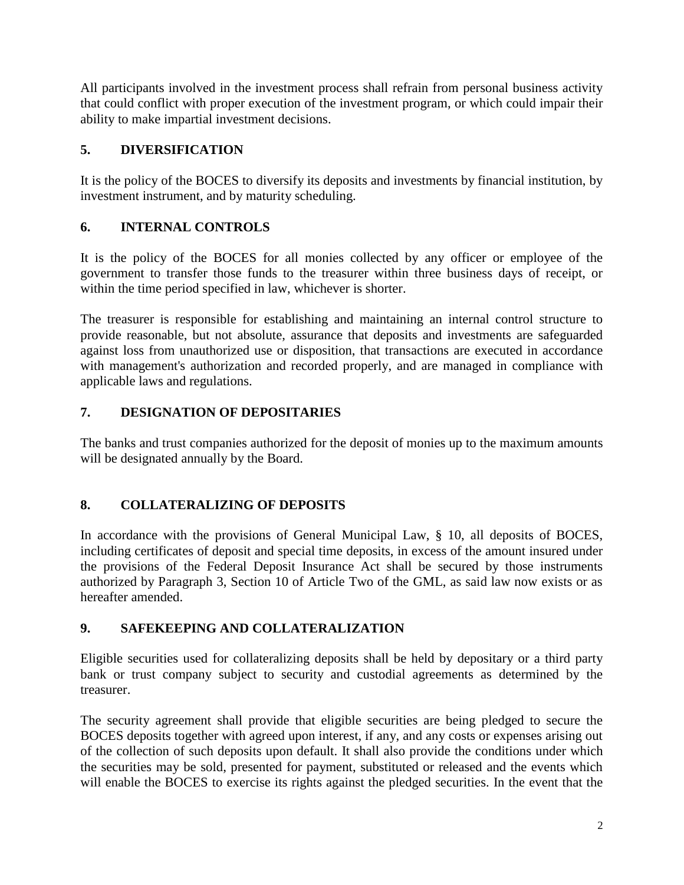All participants involved in the investment process shall refrain from personal business activity that could conflict with proper execution of the investment program, or which could impair their ability to make impartial investment decisions.

## **5. DIVERSIFICATION**

It is the policy of the BOCES to diversify its deposits and investments by financial institution, by investment instrument, and by maturity scheduling.

# **6. INTERNAL CONTROLS**

It is the policy of the BOCES for all monies collected by any officer or employee of the government to transfer those funds to the treasurer within three business days of receipt, or within the time period specified in law, whichever is shorter.

The treasurer is responsible for establishing and maintaining an internal control structure to provide reasonable, but not absolute, assurance that deposits and investments are safeguarded against loss from unauthorized use or disposition, that transactions are executed in accordance with management's authorization and recorded properly, and are managed in compliance with applicable laws and regulations.

# **7. DESIGNATION OF DEPOSITARIES**

The banks and trust companies authorized for the deposit of monies up to the maximum amounts will be designated annually by the Board.

# **8. COLLATERALIZING OF DEPOSITS**

In accordance with the provisions of General Municipal Law, § 10, all deposits of BOCES, including certificates of deposit and special time deposits, in excess of the amount insured under the provisions of the Federal Deposit Insurance Act shall be secured by those instruments authorized by Paragraph 3, Section 10 of Article Two of the GML, as said law now exists or as hereafter amended.

### **9. SAFEKEEPING AND COLLATERALIZATION**

Eligible securities used for collateralizing deposits shall be held by depositary or a third party bank or trust company subject to security and custodial agreements as determined by the treasurer.

The security agreement shall provide that eligible securities are being pledged to secure the BOCES deposits together with agreed upon interest, if any, and any costs or expenses arising out of the collection of such deposits upon default. It shall also provide the conditions under which the securities may be sold, presented for payment, substituted or released and the events which will enable the BOCES to exercise its rights against the pledged securities. In the event that the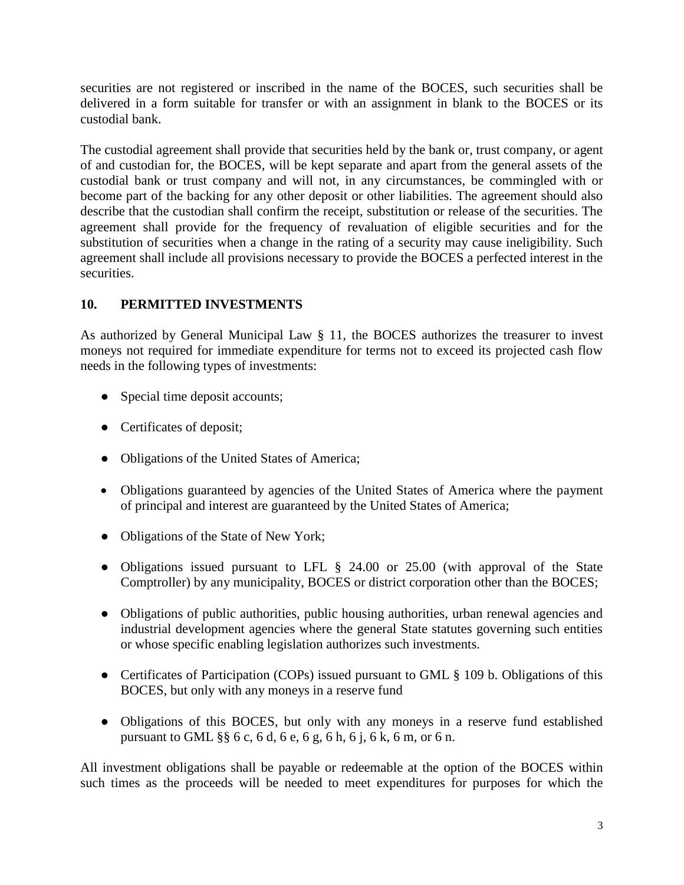securities are not registered or inscribed in the name of the BOCES, such securities shall be delivered in a form suitable for transfer or with an assignment in blank to the BOCES or its custodial bank.

The custodial agreement shall provide that securities held by the bank or, trust company, or agent of and custodian for, the BOCES, will be kept separate and apart from the general assets of the custodial bank or trust company and will not, in any circumstances, be commingled with or become part of the backing for any other deposit or other liabilities. The agreement should also describe that the custodian shall confirm the receipt, substitution or release of the securities. The agreement shall provide for the frequency of revaluation of eligible securities and for the substitution of securities when a change in the rating of a security may cause ineligibility. Such agreement shall include all provisions necessary to provide the BOCES a perfected interest in the securities.

# **10. PERMITTED INVESTMENTS**

As authorized by General Municipal Law § 11, the BOCES authorizes the treasurer to invest moneys not required for immediate expenditure for terms not to exceed its projected cash flow needs in the following types of investments:

- Special time deposit accounts;
- Certificates of deposit;
- Obligations of the United States of America;
- Obligations guaranteed by agencies of the United States of America where the payment of principal and interest are guaranteed by the United States of America;
- Obligations of the State of New York;
- Obligations issued pursuant to LFL § 24.00 or 25.00 (with approval of the State Comptroller) by any municipality, BOCES or district corporation other than the BOCES;
- Obligations of public authorities, public housing authorities, urban renewal agencies and industrial development agencies where the general State statutes governing such entities or whose specific enabling legislation authorizes such investments.
- Certificates of Participation (COPs) issued pursuant to GML § 109 b. Obligations of this BOCES, but only with any moneys in a reserve fund
- Obligations of this BOCES, but only with any moneys in a reserve fund established pursuant to GML §§ 6 c, 6 d, 6 e, 6 g, 6 h, 6 j, 6 k, 6 m, or 6 n.

All investment obligations shall be payable or redeemable at the option of the BOCES within such times as the proceeds will be needed to meet expenditures for purposes for which the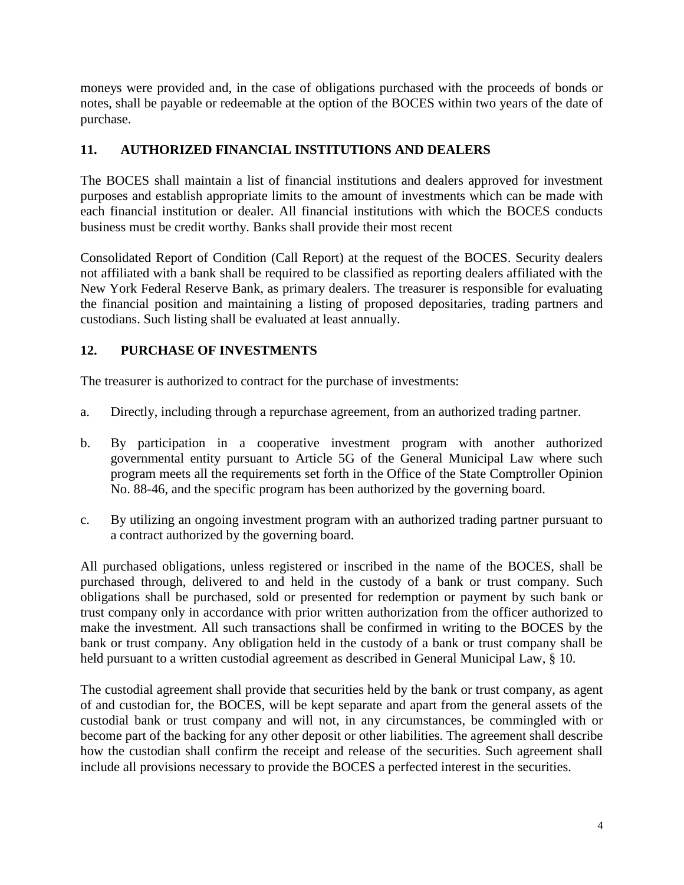moneys were provided and, in the case of obligations purchased with the proceeds of bonds or notes, shall be payable or redeemable at the option of the BOCES within two years of the date of purchase.

### **11. AUTHORIZED FINANCIAL INSTITUTIONS AND DEALERS**

The BOCES shall maintain a list of financial institutions and dealers approved for investment purposes and establish appropriate limits to the amount of investments which can be made with each financial institution or dealer. All financial institutions with which the BOCES conducts business must be credit worthy. Banks shall provide their most recent

Consolidated Report of Condition (Call Report) at the request of the BOCES. Security dealers not affiliated with a bank shall be required to be classified as reporting dealers affiliated with the New York Federal Reserve Bank, as primary dealers. The treasurer is responsible for evaluating the financial position and maintaining a listing of proposed depositaries, trading partners and custodians. Such listing shall be evaluated at least annually.

### **12. PURCHASE OF INVESTMENTS**

The treasurer is authorized to contract for the purchase of investments:

- a. Directly, including through a repurchase agreement, from an authorized trading partner.
- b. By participation in a cooperative investment program with another authorized governmental entity pursuant to Article 5G of the General Municipal Law where such program meets all the requirements set forth in the Office of the State Comptroller Opinion No. 88-46, and the specific program has been authorized by the governing board.
- c. By utilizing an ongoing investment program with an authorized trading partner pursuant to a contract authorized by the governing board.

All purchased obligations, unless registered or inscribed in the name of the BOCES, shall be purchased through, delivered to and held in the custody of a bank or trust company. Such obligations shall be purchased, sold or presented for redemption or payment by such bank or trust company only in accordance with prior written authorization from the officer authorized to make the investment. All such transactions shall be confirmed in writing to the BOCES by the bank or trust company. Any obligation held in the custody of a bank or trust company shall be held pursuant to a written custodial agreement as described in General Municipal Law, § 10.

The custodial agreement shall provide that securities held by the bank or trust company, as agent of and custodian for, the BOCES, will be kept separate and apart from the general assets of the custodial bank or trust company and will not, in any circumstances, be commingled with or become part of the backing for any other deposit or other liabilities. The agreement shall describe how the custodian shall confirm the receipt and release of the securities. Such agreement shall include all provisions necessary to provide the BOCES a perfected interest in the securities.